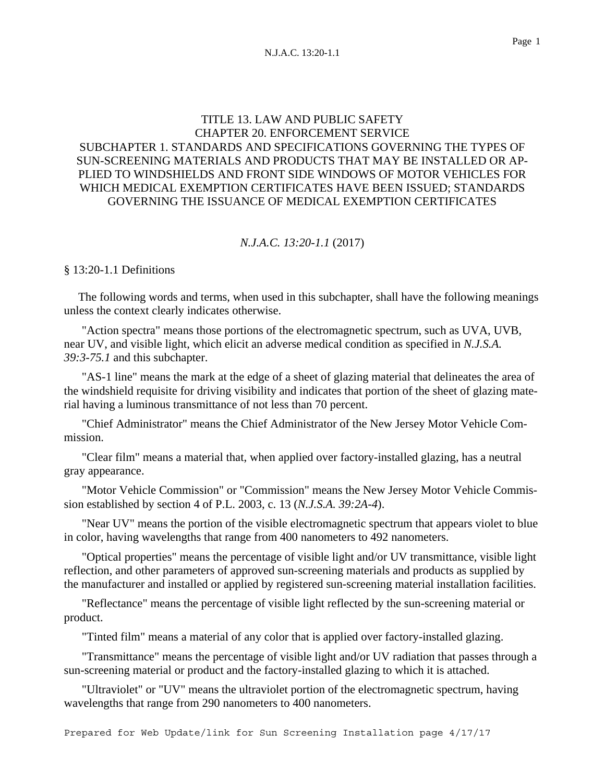# TITLE 13. LAW AND PUBLIC SAFETY CHAPTER 20. ENFORCEMENT SERVICE SUBCHAPTER 1. STANDARDS AND SPECIFICATIONS GOVERNING THE TYPES OF SUN-SCREENING MATERIALS AND PRODUCTS THAT MAY BE INSTALLED OR AP-PLIED TO WINDSHIELDS AND FRONT SIDE WINDOWS OF MOTOR VEHICLES FOR WHICH MEDICAL EXEMPTION CERTIFICATES HAVE BEEN ISSUED; STANDARDS GOVERNING THE ISSUANCE OF MEDICAL EXEMPTION CERTIFICATES

### *N.J.A.C. 13:20-1.1* (2017)

§ 13:20-1.1 Definitions

 The following words and terms, when used in this subchapter, shall have the following meanings unless the context clearly indicates otherwise.

"Action spectra" means those portions of the electromagnetic spectrum, such as UVA, UVB, near UV, and visible light, which elicit an adverse medical condition as specified in *N.J.S.A. 39:3-75.1* and this subchapter.

"AS-1 line" means the mark at the edge of a sheet of glazing material that delineates the area of the windshield requisite for driving visibility and indicates that portion of the sheet of glazing material having a luminous transmittance of not less than 70 percent.

"Chief Administrator" means the Chief Administrator of the New Jersey Motor Vehicle Commission.

"Clear film" means a material that, when applied over factory-installed glazing, has a neutral gray appearance.

"Motor Vehicle Commission" or "Commission" means the New Jersey Motor Vehicle Commission established by section 4 of P.L. 2003, c. 13 (*N.J.S.A. 39:2A-4*).

"Near UV" means the portion of the visible electromagnetic spectrum that appears violet to blue in color, having wavelengths that range from 400 nanometers to 492 nanometers.

"Optical properties" means the percentage of visible light and/or UV transmittance, visible light reflection, and other parameters of approved sun-screening materials and products as supplied by the manufacturer and installed or applied by registered sun-screening material installation facilities.

"Reflectance" means the percentage of visible light reflected by the sun-screening material or product.

"Tinted film" means a material of any color that is applied over factory-installed glazing.

"Transmittance" means the percentage of visible light and/or UV radiation that passes through a sun-screening material or product and the factory-installed glazing to which it is attached.

"Ultraviolet" or "UV" means the ultraviolet portion of the electromagnetic spectrum, having wavelengths that range from 290 nanometers to 400 nanometers.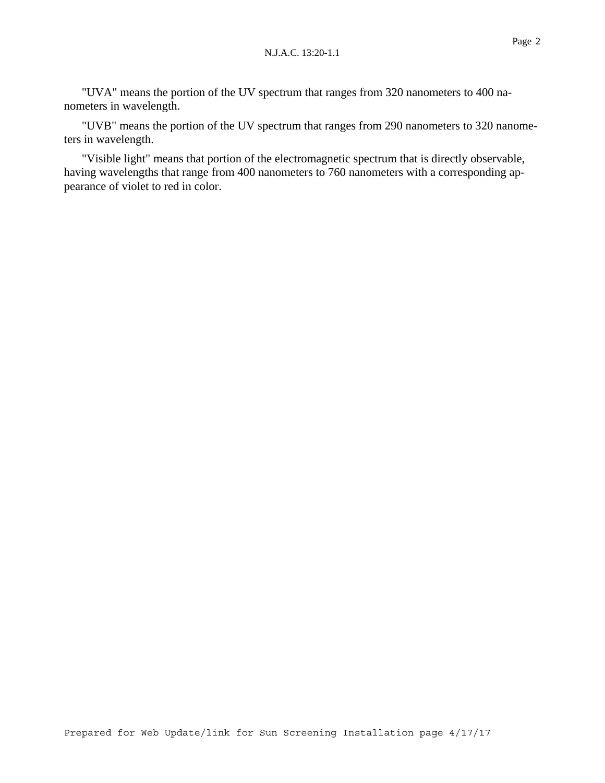"UVA" means the portion of the UV spectrum that ranges from 320 nanometers to 400 nanometers in wavelength.

"UVB" means the portion of the UV spectrum that ranges from 290 nanometers to 320 nanometers in wavelength.

"Visible light" means that portion of the electromagnetic spectrum that is directly observable, having wavelengths that range from 400 nanometers to 760 nanometers with a corresponding appearance of violet to red in color.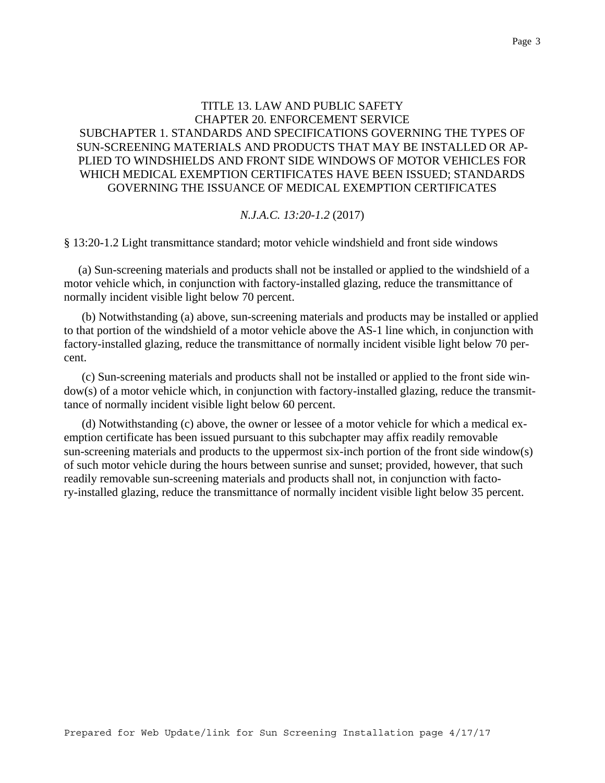## TITLE 13. LAW AND PUBLIC SAFETY CHAPTER 20. ENFORCEMENT SERVICE SUBCHAPTER 1. STANDARDS AND SPECIFICATIONS GOVERNING THE TYPES OF SUN-SCREENING MATERIALS AND PRODUCTS THAT MAY BE INSTALLED OR AP-PLIED TO WINDSHIELDS AND FRONT SIDE WINDOWS OF MOTOR VEHICLES FOR WHICH MEDICAL EXEMPTION CERTIFICATES HAVE BEEN ISSUED; STANDARDS GOVERNING THE ISSUANCE OF MEDICAL EXEMPTION CERTIFICATES

### *N.J.A.C. 13:20-1.2* (2017)

§ 13:20-1.2 Light transmittance standard; motor vehicle windshield and front side windows

 (a) Sun-screening materials and products shall not be installed or applied to the windshield of a motor vehicle which, in conjunction with factory-installed glazing, reduce the transmittance of normally incident visible light below 70 percent.

(b) Notwithstanding (a) above, sun-screening materials and products may be installed or applied to that portion of the windshield of a motor vehicle above the AS-1 line which, in conjunction with factory-installed glazing, reduce the transmittance of normally incident visible light below 70 percent.

(c) Sun-screening materials and products shall not be installed or applied to the front side window(s) of a motor vehicle which, in conjunction with factory-installed glazing, reduce the transmittance of normally incident visible light below 60 percent.

(d) Notwithstanding (c) above, the owner or lessee of a motor vehicle for which a medical exemption certificate has been issued pursuant to this subchapter may affix readily removable sun-screening materials and products to the uppermost six-inch portion of the front side window(s) of such motor vehicle during the hours between sunrise and sunset; provided, however, that such readily removable sun-screening materials and products shall not, in conjunction with factory-installed glazing, reduce the transmittance of normally incident visible light below 35 percent.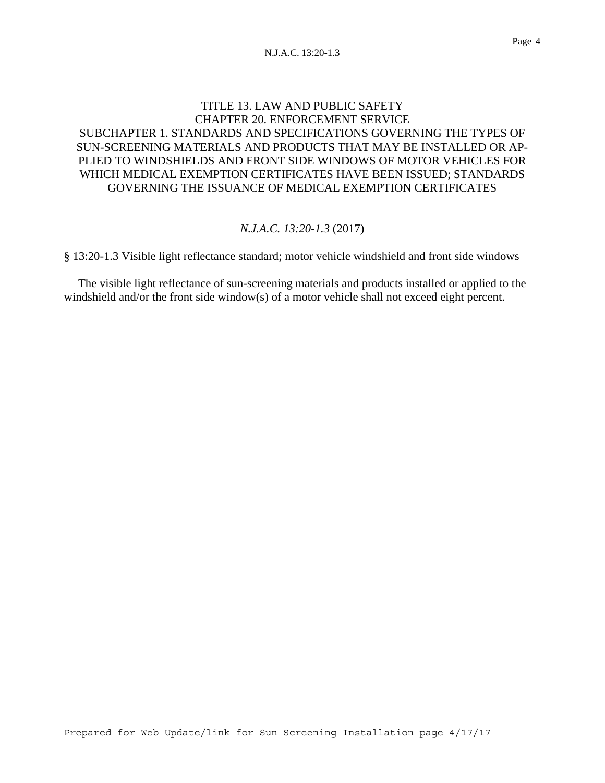# TITLE 13. LAW AND PUBLIC SAFETY CHAPTER 20. ENFORCEMENT SERVICE SUBCHAPTER 1. STANDARDS AND SPECIFICATIONS GOVERNING THE TYPES OF SUN-SCREENING MATERIALS AND PRODUCTS THAT MAY BE INSTALLED OR AP-PLIED TO WINDSHIELDS AND FRONT SIDE WINDOWS OF MOTOR VEHICLES FOR WHICH MEDICAL EXEMPTION CERTIFICATES HAVE BEEN ISSUED; STANDARDS GOVERNING THE ISSUANCE OF MEDICAL EXEMPTION CERTIFICATES

## *N.J.A.C. 13:20-1.3* (2017)

§ 13:20-1.3 Visible light reflectance standard; motor vehicle windshield and front side windows

 The visible light reflectance of sun-screening materials and products installed or applied to the windshield and/or the front side window(s) of a motor vehicle shall not exceed eight percent.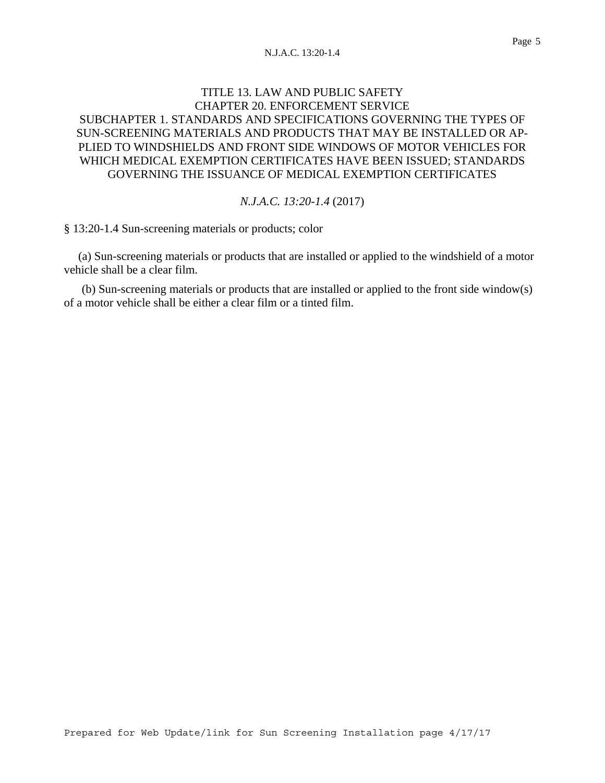## TITLE 13. LAW AND PUBLIC SAFETY CHAPTER 20. ENFORCEMENT SERVICE SUBCHAPTER 1. STANDARDS AND SPECIFICATIONS GOVERNING THE TYPES OF SUN-SCREENING MATERIALS AND PRODUCTS THAT MAY BE INSTALLED OR AP-PLIED TO WINDSHIELDS AND FRONT SIDE WINDOWS OF MOTOR VEHICLES FOR WHICH MEDICAL EXEMPTION CERTIFICATES HAVE BEEN ISSUED; STANDARDS GOVERNING THE ISSUANCE OF MEDICAL EXEMPTION CERTIFICATES

### *N.J.A.C. 13:20-1.4* (2017)

§ 13:20-1.4 Sun-screening materials or products; color

 (a) Sun-screening materials or products that are installed or applied to the windshield of a motor vehicle shall be a clear film.

(b) Sun-screening materials or products that are installed or applied to the front side window(s) of a motor vehicle shall be either a clear film or a tinted film.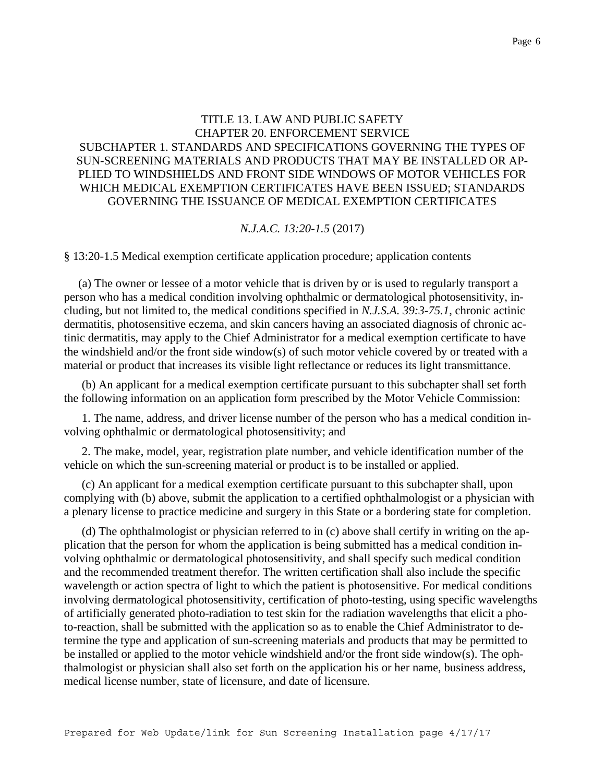# TITLE 13. LAW AND PUBLIC SAFETY CHAPTER 20. ENFORCEMENT SERVICE SUBCHAPTER 1. STANDARDS AND SPECIFICATIONS GOVERNING THE TYPES OF SUN-SCREENING MATERIALS AND PRODUCTS THAT MAY BE INSTALLED OR AP-PLIED TO WINDSHIELDS AND FRONT SIDE WINDOWS OF MOTOR VEHICLES FOR WHICH MEDICAL EXEMPTION CERTIFICATES HAVE BEEN ISSUED; STANDARDS GOVERNING THE ISSUANCE OF MEDICAL EXEMPTION CERTIFICATES

### *N.J.A.C. 13:20-1.5* (2017)

§ 13:20-1.5 Medical exemption certificate application procedure; application contents

 (a) The owner or lessee of a motor vehicle that is driven by or is used to regularly transport a person who has a medical condition involving ophthalmic or dermatological photosensitivity, including, but not limited to, the medical conditions specified in *N.J.S.A. 39:3-75.1*, chronic actinic dermatitis, photosensitive eczema, and skin cancers having an associated diagnosis of chronic actinic dermatitis, may apply to the Chief Administrator for a medical exemption certificate to have the windshield and/or the front side window(s) of such motor vehicle covered by or treated with a material or product that increases its visible light reflectance or reduces its light transmittance.

(b) An applicant for a medical exemption certificate pursuant to this subchapter shall set forth the following information on an application form prescribed by the Motor Vehicle Commission:

1. The name, address, and driver license number of the person who has a medical condition involving ophthalmic or dermatological photosensitivity; and

2. The make, model, year, registration plate number, and vehicle identification number of the vehicle on which the sun-screening material or product is to be installed or applied.

(c) An applicant for a medical exemption certificate pursuant to this subchapter shall, upon complying with (b) above, submit the application to a certified ophthalmologist or a physician with a plenary license to practice medicine and surgery in this State or a bordering state for completion.

(d) The ophthalmologist or physician referred to in (c) above shall certify in writing on the application that the person for whom the application is being submitted has a medical condition involving ophthalmic or dermatological photosensitivity, and shall specify such medical condition and the recommended treatment therefor. The written certification shall also include the specific wavelength or action spectra of light to which the patient is photosensitive. For medical conditions involving dermatological photosensitivity, certification of photo-testing, using specific wavelengths of artificially generated photo-radiation to test skin for the radiation wavelengths that elicit a photo-reaction, shall be submitted with the application so as to enable the Chief Administrator to determine the type and application of sun-screening materials and products that may be permitted to be installed or applied to the motor vehicle windshield and/or the front side window(s). The ophthalmologist or physician shall also set forth on the application his or her name, business address, medical license number, state of licensure, and date of licensure.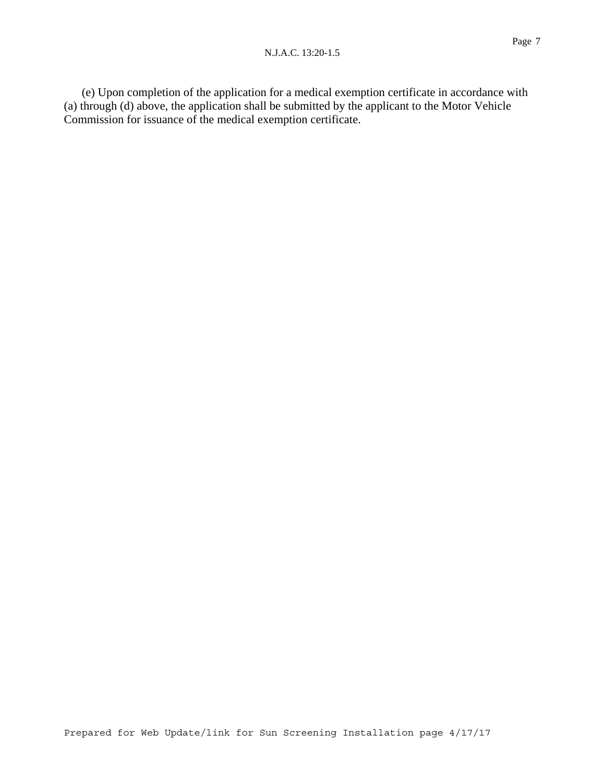(e) Upon completion of the application for a medical exemption certificate in accordance with (a) through (d) above, the application shall be submitted by the applicant to the Motor Vehicle Commission for issuance of the medical exemption certificate.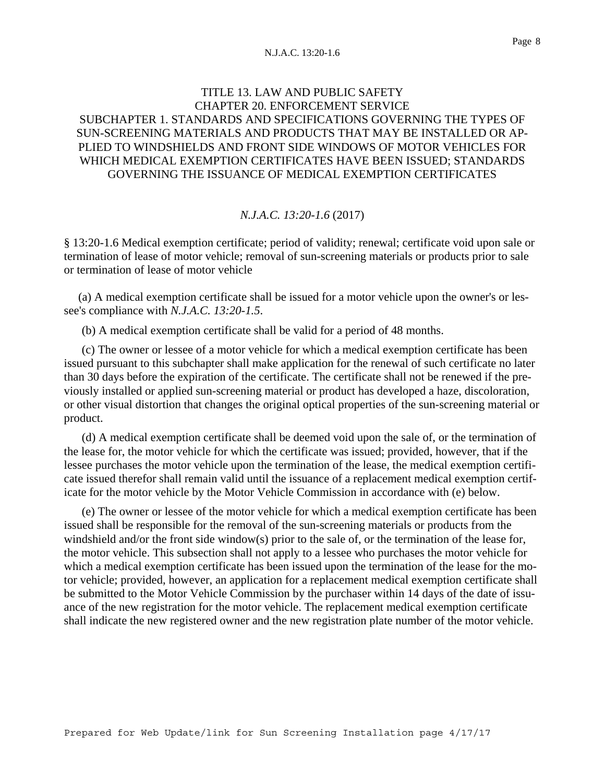# TITLE 13. LAW AND PUBLIC SAFETY CHAPTER 20. ENFORCEMENT SERVICE SUBCHAPTER 1. STANDARDS AND SPECIFICATIONS GOVERNING THE TYPES OF SUN-SCREENING MATERIALS AND PRODUCTS THAT MAY BE INSTALLED OR AP-PLIED TO WINDSHIELDS AND FRONT SIDE WINDOWS OF MOTOR VEHICLES FOR WHICH MEDICAL EXEMPTION CERTIFICATES HAVE BEEN ISSUED; STANDARDS GOVERNING THE ISSUANCE OF MEDICAL EXEMPTION CERTIFICATES

### *N.J.A.C. 13:20-1.6* (2017)

§ 13:20-1.6 Medical exemption certificate; period of validity; renewal; certificate void upon sale or termination of lease of motor vehicle; removal of sun-screening materials or products prior to sale or termination of lease of motor vehicle

 (a) A medical exemption certificate shall be issued for a motor vehicle upon the owner's or lessee's compliance with *N.J.A.C. 13:20-1.5*.

(b) A medical exemption certificate shall be valid for a period of 48 months.

(c) The owner or lessee of a motor vehicle for which a medical exemption certificate has been issued pursuant to this subchapter shall make application for the renewal of such certificate no later than 30 days before the expiration of the certificate. The certificate shall not be renewed if the previously installed or applied sun-screening material or product has developed a haze, discoloration, or other visual distortion that changes the original optical properties of the sun-screening material or product.

(d) A medical exemption certificate shall be deemed void upon the sale of, or the termination of the lease for, the motor vehicle for which the certificate was issued; provided, however, that if the lessee purchases the motor vehicle upon the termination of the lease, the medical exemption certificate issued therefor shall remain valid until the issuance of a replacement medical exemption certificate for the motor vehicle by the Motor Vehicle Commission in accordance with (e) below.

(e) The owner or lessee of the motor vehicle for which a medical exemption certificate has been issued shall be responsible for the removal of the sun-screening materials or products from the windshield and/or the front side window(s) prior to the sale of, or the termination of the lease for, the motor vehicle. This subsection shall not apply to a lessee who purchases the motor vehicle for which a medical exemption certificate has been issued upon the termination of the lease for the motor vehicle; provided, however, an application for a replacement medical exemption certificate shall be submitted to the Motor Vehicle Commission by the purchaser within 14 days of the date of issuance of the new registration for the motor vehicle. The replacement medical exemption certificate shall indicate the new registered owner and the new registration plate number of the motor vehicle.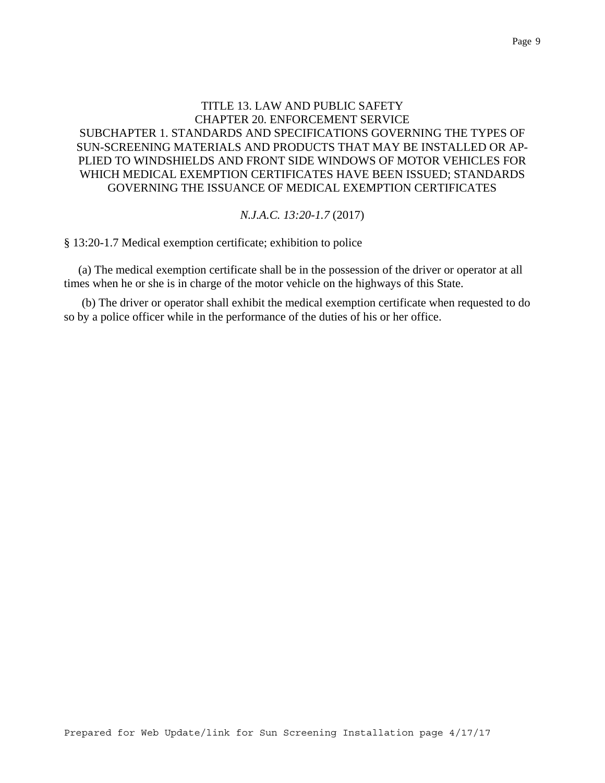# TITLE 13. LAW AND PUBLIC SAFETY CHAPTER 20. ENFORCEMENT SERVICE SUBCHAPTER 1. STANDARDS AND SPECIFICATIONS GOVERNING THE TYPES OF SUN-SCREENING MATERIALS AND PRODUCTS THAT MAY BE INSTALLED OR AP-PLIED TO WINDSHIELDS AND FRONT SIDE WINDOWS OF MOTOR VEHICLES FOR WHICH MEDICAL EXEMPTION CERTIFICATES HAVE BEEN ISSUED; STANDARDS GOVERNING THE ISSUANCE OF MEDICAL EXEMPTION CERTIFICATES

### *N.J.A.C. 13:20-1.7* (2017)

§ 13:20-1.7 Medical exemption certificate; exhibition to police

 (a) The medical exemption certificate shall be in the possession of the driver or operator at all times when he or she is in charge of the motor vehicle on the highways of this State.

(b) The driver or operator shall exhibit the medical exemption certificate when requested to do so by a police officer while in the performance of the duties of his or her office.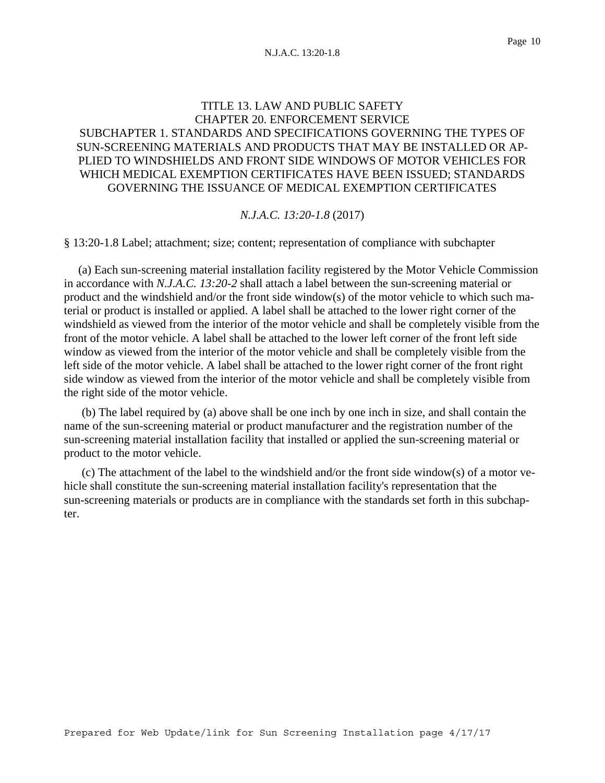## TITLE 13. LAW AND PUBLIC SAFETY CHAPTER 20. ENFORCEMENT SERVICE SUBCHAPTER 1. STANDARDS AND SPECIFICATIONS GOVERNING THE TYPES OF SUN-SCREENING MATERIALS AND PRODUCTS THAT MAY BE INSTALLED OR AP-PLIED TO WINDSHIELDS AND FRONT SIDE WINDOWS OF MOTOR VEHICLES FOR WHICH MEDICAL EXEMPTION CERTIFICATES HAVE BEEN ISSUED; STANDARDS GOVERNING THE ISSUANCE OF MEDICAL EXEMPTION CERTIFICATES

#### *N.J.A.C. 13:20-1.8* (2017)

§ 13:20-1.8 Label; attachment; size; content; representation of compliance with subchapter

 (a) Each sun-screening material installation facility registered by the Motor Vehicle Commission in accordance with *N.J.A.C. 13:20-2* shall attach a label between the sun-screening material or product and the windshield and/or the front side window(s) of the motor vehicle to which such material or product is installed or applied. A label shall be attached to the lower right corner of the windshield as viewed from the interior of the motor vehicle and shall be completely visible from the front of the motor vehicle. A label shall be attached to the lower left corner of the front left side window as viewed from the interior of the motor vehicle and shall be completely visible from the left side of the motor vehicle. A label shall be attached to the lower right corner of the front right side window as viewed from the interior of the motor vehicle and shall be completely visible from the right side of the motor vehicle.

(b) The label required by (a) above shall be one inch by one inch in size, and shall contain the name of the sun-screening material or product manufacturer and the registration number of the sun-screening material installation facility that installed or applied the sun-screening material or product to the motor vehicle.

(c) The attachment of the label to the windshield and/or the front side window(s) of a motor vehicle shall constitute the sun-screening material installation facility's representation that the sun-screening materials or products are in compliance with the standards set forth in this subchapter.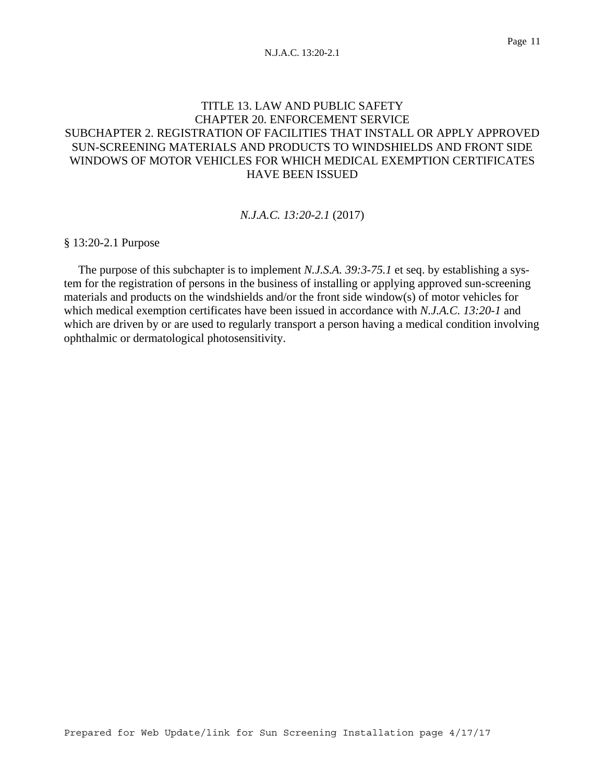# TITLE 13. LAW AND PUBLIC SAFETY CHAPTER 20. ENFORCEMENT SERVICE SUBCHAPTER 2. REGISTRATION OF FACILITIES THAT INSTALL OR APPLY APPROVED SUN-SCREENING MATERIALS AND PRODUCTS TO WINDSHIELDS AND FRONT SIDE WINDOWS OF MOTOR VEHICLES FOR WHICH MEDICAL EXEMPTION CERTIFICATES HAVE BEEN ISSUED

### *N.J.A.C. 13:20-2.1* (2017)

§ 13:20-2.1 Purpose

 The purpose of this subchapter is to implement *N.J.S.A. 39:3-75.1* et seq. by establishing a system for the registration of persons in the business of installing or applying approved sun-screening materials and products on the windshields and/or the front side window(s) of motor vehicles for which medical exemption certificates have been issued in accordance with *N.J.A.C. 13:20-1* and which are driven by or are used to regularly transport a person having a medical condition involving ophthalmic or dermatological photosensitivity.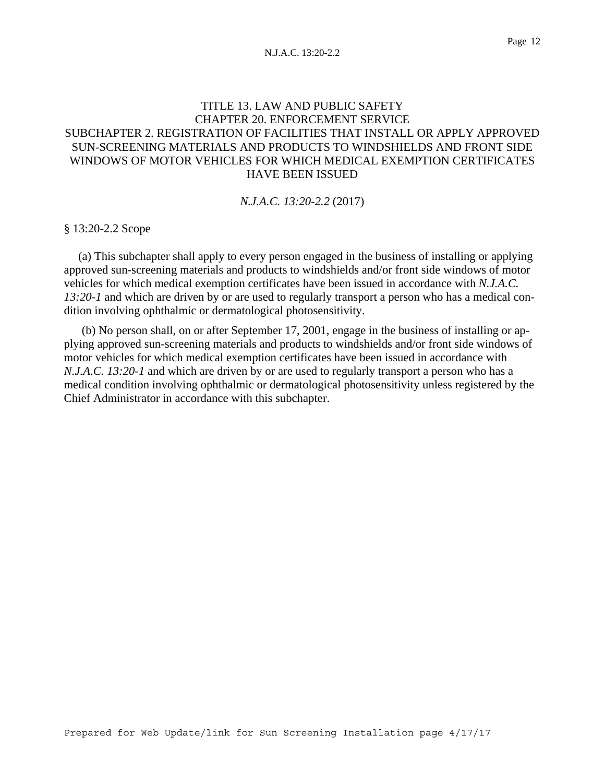# TITLE 13. LAW AND PUBLIC SAFETY CHAPTER 20. ENFORCEMENT SERVICE SUBCHAPTER 2. REGISTRATION OF FACILITIES THAT INSTALL OR APPLY APPROVED SUN-SCREENING MATERIALS AND PRODUCTS TO WINDSHIELDS AND FRONT SIDE WINDOWS OF MOTOR VEHICLES FOR WHICH MEDICAL EXEMPTION CERTIFICATES HAVE BEEN ISSUED

### *N.J.A.C. 13:20-2.2* (2017)

§ 13:20-2.2 Scope

 (a) This subchapter shall apply to every person engaged in the business of installing or applying approved sun-screening materials and products to windshields and/or front side windows of motor vehicles for which medical exemption certificates have been issued in accordance with *N.J.A.C. 13:20-1* and which are driven by or are used to regularly transport a person who has a medical condition involving ophthalmic or dermatological photosensitivity.

(b) No person shall, on or after September 17, 2001, engage in the business of installing or applying approved sun-screening materials and products to windshields and/or front side windows of motor vehicles for which medical exemption certificates have been issued in accordance with *N.J.A.C. 13:20-1* and which are driven by or are used to regularly transport a person who has a medical condition involving ophthalmic or dermatological photosensitivity unless registered by the Chief Administrator in accordance with this subchapter.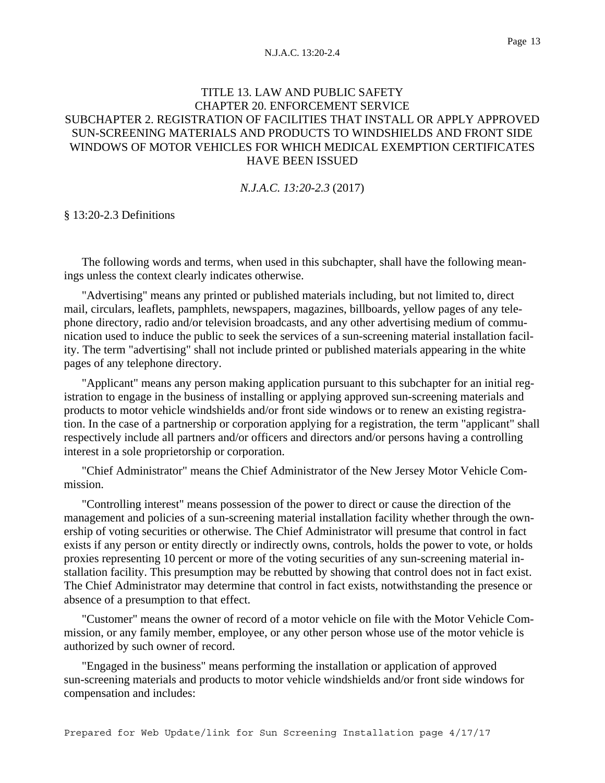# TITLE 13. LAW AND PUBLIC SAFETY CHAPTER 20. ENFORCEMENT SERVICE SUBCHAPTER 2. REGISTRATION OF FACILITIES THAT INSTALL OR APPLY APPROVED SUN-SCREENING MATERIALS AND PRODUCTS TO WINDSHIELDS AND FRONT SIDE WINDOWS OF MOTOR VEHICLES FOR WHICH MEDICAL EXEMPTION CERTIFICATES HAVE BEEN ISSUED

*N.J.A.C. 13:20-2.3* (2017)

§ 13:20-2.3 Definitions

The following words and terms, when used in this subchapter, shall have the following meanings unless the context clearly indicates otherwise.

"Advertising" means any printed or published materials including, but not limited to, direct mail, circulars, leaflets, pamphlets, newspapers, magazines, billboards, yellow pages of any telephone directory, radio and/or television broadcasts, and any other advertising medium of communication used to induce the public to seek the services of a sun-screening material installation facility. The term "advertising" shall not include printed or published materials appearing in the white pages of any telephone directory.

"Applicant" means any person making application pursuant to this subchapter for an initial registration to engage in the business of installing or applying approved sun-screening materials and products to motor vehicle windshields and/or front side windows or to renew an existing registration. In the case of a partnership or corporation applying for a registration, the term "applicant" shall respectively include all partners and/or officers and directors and/or persons having a controlling interest in a sole proprietorship or corporation.

"Chief Administrator" means the Chief Administrator of the New Jersey Motor Vehicle Commission.

"Controlling interest" means possession of the power to direct or cause the direction of the management and policies of a sun-screening material installation facility whether through the ownership of voting securities or otherwise. The Chief Administrator will presume that control in fact exists if any person or entity directly or indirectly owns, controls, holds the power to vote, or holds proxies representing 10 percent or more of the voting securities of any sun-screening material installation facility. This presumption may be rebutted by showing that control does not in fact exist. The Chief Administrator may determine that control in fact exists, notwithstanding the presence or absence of a presumption to that effect.

"Customer" means the owner of record of a motor vehicle on file with the Motor Vehicle Commission, or any family member, employee, or any other person whose use of the motor vehicle is authorized by such owner of record.

"Engaged in the business" means performing the installation or application of approved sun-screening materials and products to motor vehicle windshields and/or front side windows for compensation and includes: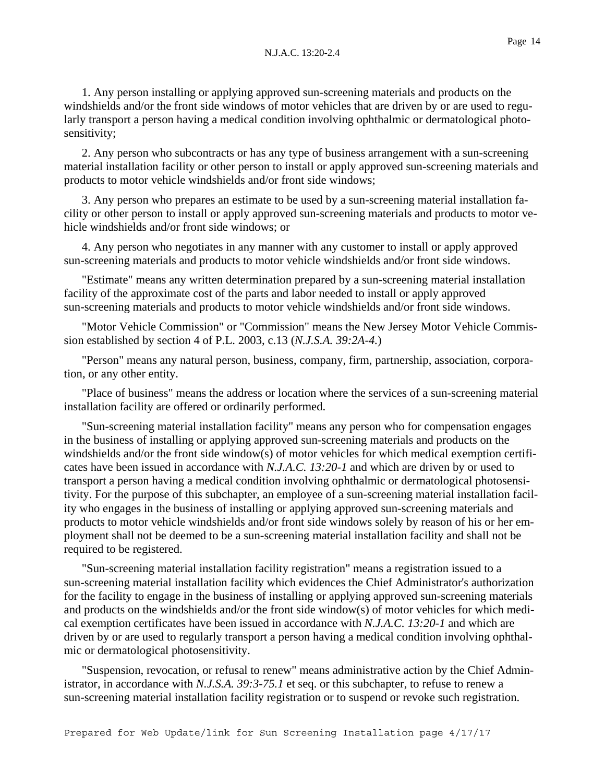1. Any person installing or applying approved sun-screening materials and products on the windshields and/or the front side windows of motor vehicles that are driven by or are used to regularly transport a person having a medical condition involving ophthalmic or dermatological photosensitivity;

2. Any person who subcontracts or has any type of business arrangement with a sun-screening material installation facility or other person to install or apply approved sun-screening materials and products to motor vehicle windshields and/or front side windows;

3. Any person who prepares an estimate to be used by a sun-screening material installation facility or other person to install or apply approved sun-screening materials and products to motor vehicle windshields and/or front side windows; or

4. Any person who negotiates in any manner with any customer to install or apply approved sun-screening materials and products to motor vehicle windshields and/or front side windows.

"Estimate" means any written determination prepared by a sun-screening material installation facility of the approximate cost of the parts and labor needed to install or apply approved sun-screening materials and products to motor vehicle windshields and/or front side windows.

"Motor Vehicle Commission" or "Commission" means the New Jersey Motor Vehicle Commission established by section 4 of P.L. 2003, c.13 (*N.J.S.A. 39:2A-4.*)

"Person" means any natural person, business, company, firm, partnership, association, corporation, or any other entity.

"Place of business" means the address or location where the services of a sun-screening material installation facility are offered or ordinarily performed.

"Sun-screening material installation facility" means any person who for compensation engages in the business of installing or applying approved sun-screening materials and products on the windshields and/or the front side window(s) of motor vehicles for which medical exemption certificates have been issued in accordance with *N.J.A.C. 13:20-1* and which are driven by or used to transport a person having a medical condition involving ophthalmic or dermatological photosensitivity. For the purpose of this subchapter, an employee of a sun-screening material installation facility who engages in the business of installing or applying approved sun-screening materials and products to motor vehicle windshields and/or front side windows solely by reason of his or her employment shall not be deemed to be a sun-screening material installation facility and shall not be required to be registered.

"Sun-screening material installation facility registration" means a registration issued to a sun-screening material installation facility which evidences the Chief Administrator's authorization for the facility to engage in the business of installing or applying approved sun-screening materials and products on the windshields and/or the front side window(s) of motor vehicles for which medical exemption certificates have been issued in accordance with *N.J.A.C. 13:20-1* and which are driven by or are used to regularly transport a person having a medical condition involving ophthalmic or dermatological photosensitivity.

"Suspension, revocation, or refusal to renew" means administrative action by the Chief Administrator, in accordance with *N.J.S.A. 39:3-75.1* et seq. or this subchapter, to refuse to renew a sun-screening material installation facility registration or to suspend or revoke such registration.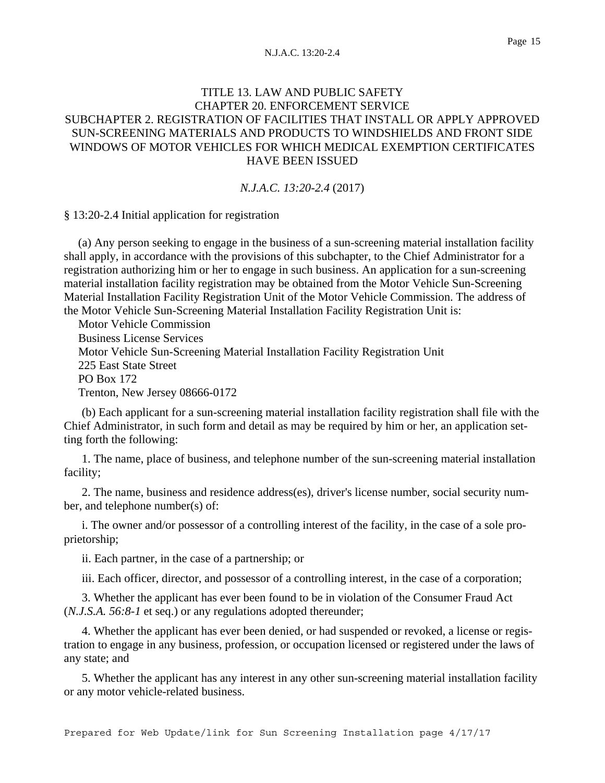# TITLE 13. LAW AND PUBLIC SAFETY CHAPTER 20. ENFORCEMENT SERVICE SUBCHAPTER 2. REGISTRATION OF FACILITIES THAT INSTALL OR APPLY APPROVED SUN-SCREENING MATERIALS AND PRODUCTS TO WINDSHIELDS AND FRONT SIDE WINDOWS OF MOTOR VEHICLES FOR WHICH MEDICAL EXEMPTION CERTIFICATES HAVE BEEN ISSUED

*N.J.A.C. 13:20-2.4* (2017)

§ 13:20-2.4 Initial application for registration

 (a) Any person seeking to engage in the business of a sun-screening material installation facility shall apply, in accordance with the provisions of this subchapter, to the Chief Administrator for a registration authorizing him or her to engage in such business. An application for a sun-screening material installation facility registration may be obtained from the Motor Vehicle Sun-Screening Material Installation Facility Registration Unit of the Motor Vehicle Commission. The address of the Motor Vehicle Sun-Screening Material Installation Facility Registration Unit is:

 Motor Vehicle Commission Business License Services Motor Vehicle Sun-Screening Material Installation Facility Registration Unit 225 East State Street PO Box 172 Trenton, New Jersey 08666-0172

(b) Each applicant for a sun-screening material installation facility registration shall file with the Chief Administrator, in such form and detail as may be required by him or her, an application setting forth the following:

1. The name, place of business, and telephone number of the sun-screening material installation facility;

2. The name, business and residence address(es), driver's license number, social security number, and telephone number(s) of:

i. The owner and/or possessor of a controlling interest of the facility, in the case of a sole proprietorship;

ii. Each partner, in the case of a partnership; or

iii. Each officer, director, and possessor of a controlling interest, in the case of a corporation;

3. Whether the applicant has ever been found to be in violation of the Consumer Fraud Act (*N.J.S.A. 56:8-1* et seq.) or any regulations adopted thereunder;

4. Whether the applicant has ever been denied, or had suspended or revoked, a license or registration to engage in any business, profession, or occupation licensed or registered under the laws of any state; and

5. Whether the applicant has any interest in any other sun-screening material installation facility or any motor vehicle-related business.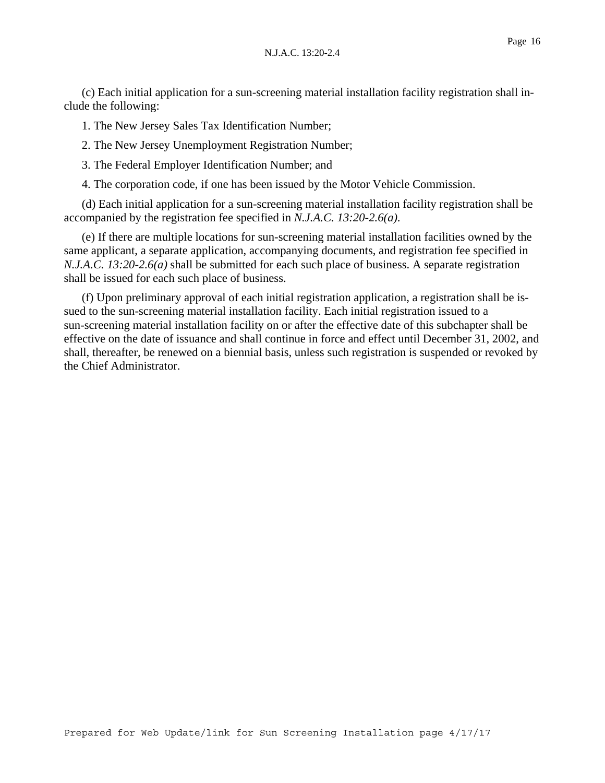(c) Each initial application for a sun-screening material installation facility registration shall include the following:

1. The New Jersey Sales Tax Identification Number;

2. The New Jersey Unemployment Registration Number;

3. The Federal Employer Identification Number; and

4. The corporation code, if one has been issued by the Motor Vehicle Commission.

(d) Each initial application for a sun-screening material installation facility registration shall be accompanied by the registration fee specified in *N.J.A.C. 13:20-2.6(a)*.

(e) If there are multiple locations for sun-screening material installation facilities owned by the same applicant, a separate application, accompanying documents, and registration fee specified in *N.J.A.C. 13:20-2.6(a)* shall be submitted for each such place of business. A separate registration shall be issued for each such place of business.

(f) Upon preliminary approval of each initial registration application, a registration shall be issued to the sun-screening material installation facility. Each initial registration issued to a sun-screening material installation facility on or after the effective date of this subchapter shall be effective on the date of issuance and shall continue in force and effect until December 31, 2002, and shall, thereafter, be renewed on a biennial basis, unless such registration is suspended or revoked by the Chief Administrator.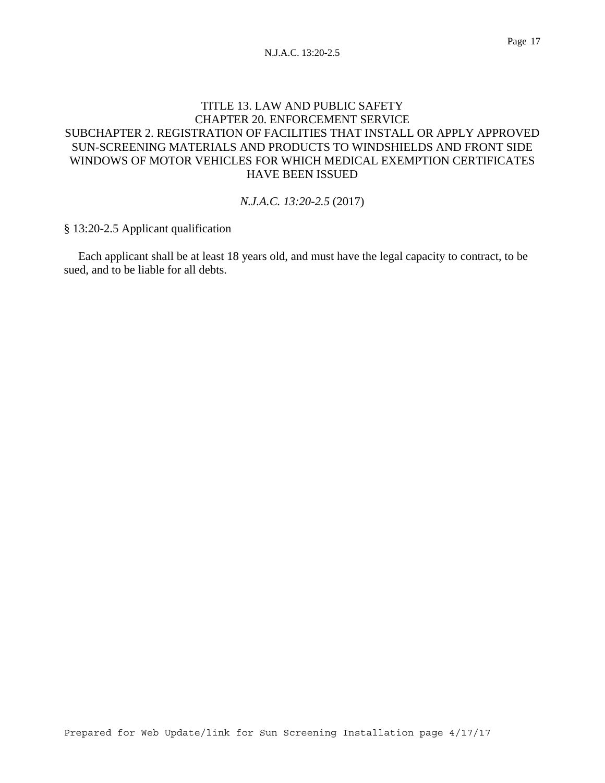# TITLE 13. LAW AND PUBLIC SAFETY CHAPTER 20. ENFORCEMENT SERVICE SUBCHAPTER 2. REGISTRATION OF FACILITIES THAT INSTALL OR APPLY APPROVED SUN-SCREENING MATERIALS AND PRODUCTS TO WINDSHIELDS AND FRONT SIDE WINDOWS OF MOTOR VEHICLES FOR WHICH MEDICAL EXEMPTION CERTIFICATES HAVE BEEN ISSUED

### *N.J.A.C. 13:20-2.5* (2017)

§ 13:20-2.5 Applicant qualification

 Each applicant shall be at least 18 years old, and must have the legal capacity to contract, to be sued, and to be liable for all debts.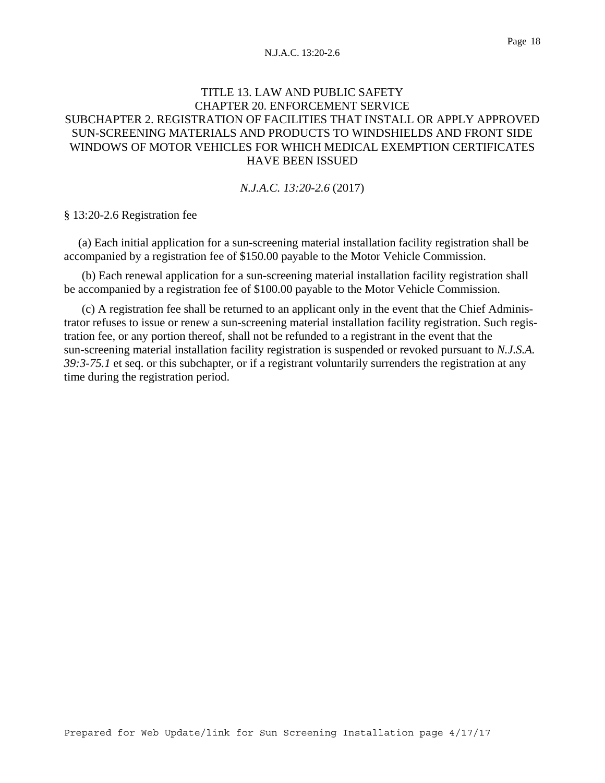# TITLE 13. LAW AND PUBLIC SAFETY CHAPTER 20. ENFORCEMENT SERVICE SUBCHAPTER 2. REGISTRATION OF FACILITIES THAT INSTALL OR APPLY APPROVED SUN-SCREENING MATERIALS AND PRODUCTS TO WINDSHIELDS AND FRONT SIDE WINDOWS OF MOTOR VEHICLES FOR WHICH MEDICAL EXEMPTION CERTIFICATES HAVE BEEN ISSUED

*N.J.A.C. 13:20-2.6* (2017)

§ 13:20-2.6 Registration fee

 (a) Each initial application for a sun-screening material installation facility registration shall be accompanied by a registration fee of \$150.00 payable to the Motor Vehicle Commission.

(b) Each renewal application for a sun-screening material installation facility registration shall be accompanied by a registration fee of \$100.00 payable to the Motor Vehicle Commission.

(c) A registration fee shall be returned to an applicant only in the event that the Chief Administrator refuses to issue or renew a sun-screening material installation facility registration. Such registration fee, or any portion thereof, shall not be refunded to a registrant in the event that the sun-screening material installation facility registration is suspended or revoked pursuant to *N.J.S.A. 39:3-75.1* et seq. or this subchapter, or if a registrant voluntarily surrenders the registration at any time during the registration period.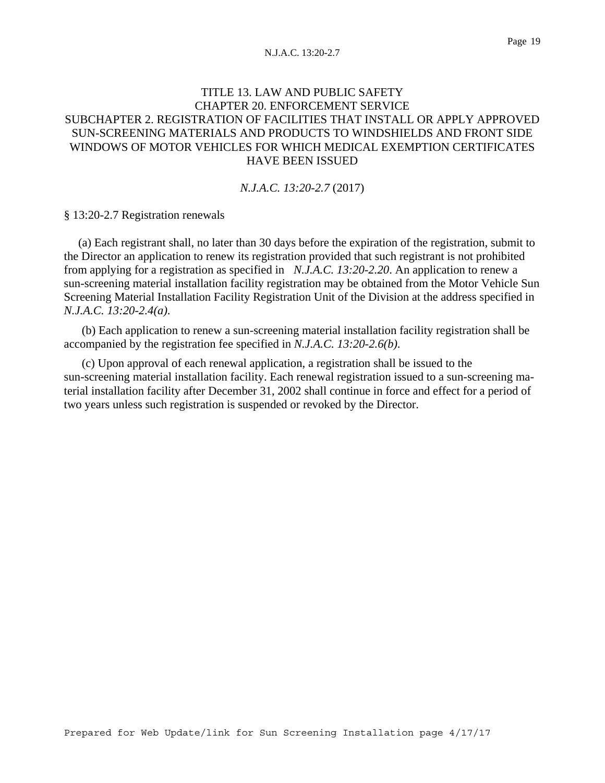# TITLE 13. LAW AND PUBLIC SAFETY CHAPTER 20. ENFORCEMENT SERVICE SUBCHAPTER 2. REGISTRATION OF FACILITIES THAT INSTALL OR APPLY APPROVED SUN-SCREENING MATERIALS AND PRODUCTS TO WINDSHIELDS AND FRONT SIDE WINDOWS OF MOTOR VEHICLES FOR WHICH MEDICAL EXEMPTION CERTIFICATES HAVE BEEN ISSUED

*N.J.A.C. 13:20-2.7* (2017)

§ 13:20-2.7 Registration renewals

 (a) Each registrant shall, no later than 30 days before the expiration of the registration, submit to the Director an application to renew its registration provided that such registrant is not prohibited from applying for a registration as specified in *N.J.A.C. 13:20-2.20*. An application to renew a sun-screening material installation facility registration may be obtained from the Motor Vehicle Sun Screening Material Installation Facility Registration Unit of the Division at the address specified in *N.J.A.C. 13:20-2.4(a)*.

(b) Each application to renew a sun-screening material installation facility registration shall be accompanied by the registration fee specified in *N.J.A.C. 13:20-2.6(b)*.

(c) Upon approval of each renewal application, a registration shall be issued to the sun-screening material installation facility. Each renewal registration issued to a sun-screening material installation facility after December 31, 2002 shall continue in force and effect for a period of two years unless such registration is suspended or revoked by the Director.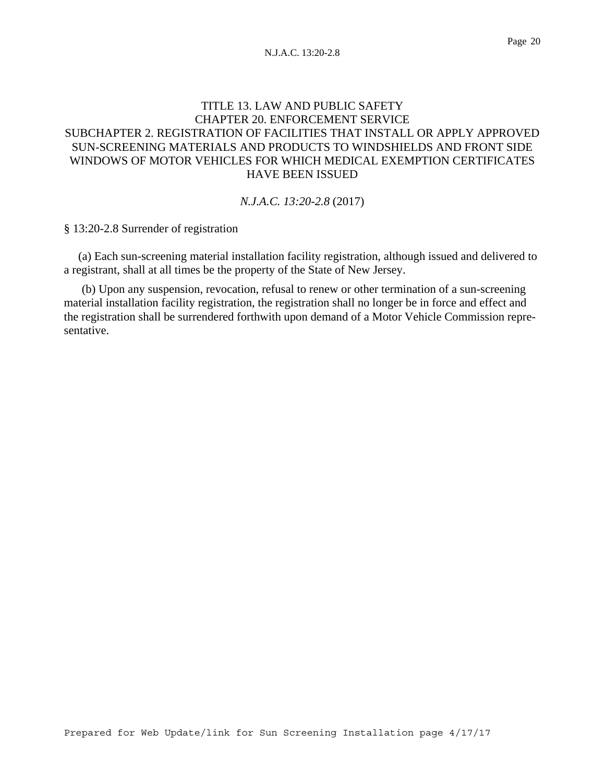# TITLE 13. LAW AND PUBLIC SAFETY CHAPTER 20. ENFORCEMENT SERVICE SUBCHAPTER 2. REGISTRATION OF FACILITIES THAT INSTALL OR APPLY APPROVED SUN-SCREENING MATERIALS AND PRODUCTS TO WINDSHIELDS AND FRONT SIDE WINDOWS OF MOTOR VEHICLES FOR WHICH MEDICAL EXEMPTION CERTIFICATES HAVE BEEN ISSUED

### *N.J.A.C. 13:20-2.8* (2017)

§ 13:20-2.8 Surrender of registration

 (a) Each sun-screening material installation facility registration, although issued and delivered to a registrant, shall at all times be the property of the State of New Jersey.

(b) Upon any suspension, revocation, refusal to renew or other termination of a sun-screening material installation facility registration, the registration shall no longer be in force and effect and the registration shall be surrendered forthwith upon demand of a Motor Vehicle Commission representative.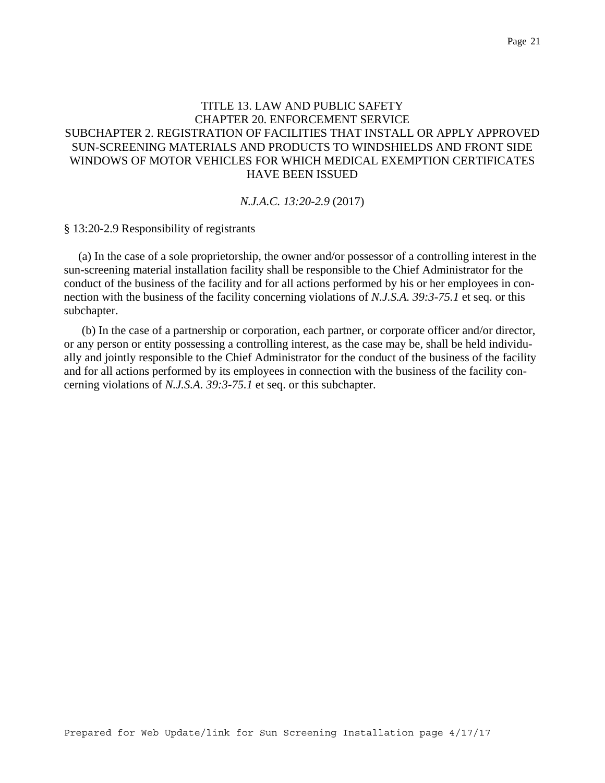# TITLE 13. LAW AND PUBLIC SAFETY CHAPTER 20. ENFORCEMENT SERVICE SUBCHAPTER 2. REGISTRATION OF FACILITIES THAT INSTALL OR APPLY APPROVED SUN-SCREENING MATERIALS AND PRODUCTS TO WINDSHIELDS AND FRONT SIDE WINDOWS OF MOTOR VEHICLES FOR WHICH MEDICAL EXEMPTION CERTIFICATES HAVE BEEN ISSUED

#### *N.J.A.C. 13:20-2.9* (2017)

§ 13:20-2.9 Responsibility of registrants

 (a) In the case of a sole proprietorship, the owner and/or possessor of a controlling interest in the sun-screening material installation facility shall be responsible to the Chief Administrator for the conduct of the business of the facility and for all actions performed by his or her employees in connection with the business of the facility concerning violations of *N.J.S.A. 39:3-75.1* et seq. or this subchapter.

(b) In the case of a partnership or corporation, each partner, or corporate officer and/or director, or any person or entity possessing a controlling interest, as the case may be, shall be held individually and jointly responsible to the Chief Administrator for the conduct of the business of the facility and for all actions performed by its employees in connection with the business of the facility concerning violations of *N.J.S.A. 39:3-75.1* et seq. or this subchapter.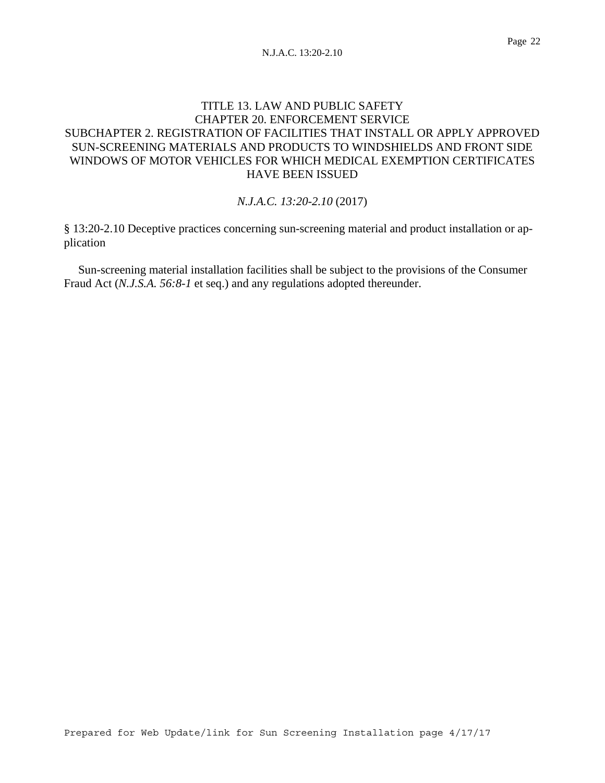# TITLE 13. LAW AND PUBLIC SAFETY CHAPTER 20. ENFORCEMENT SERVICE SUBCHAPTER 2. REGISTRATION OF FACILITIES THAT INSTALL OR APPLY APPROVED SUN-SCREENING MATERIALS AND PRODUCTS TO WINDSHIELDS AND FRONT SIDE WINDOWS OF MOTOR VEHICLES FOR WHICH MEDICAL EXEMPTION CERTIFICATES HAVE BEEN ISSUED

### *N.J.A.C. 13:20-2.10* (2017)

§ 13:20-2.10 Deceptive practices concerning sun-screening material and product installation or application

 Sun-screening material installation facilities shall be subject to the provisions of the Consumer Fraud Act (*N.J.S.A. 56:8-1* et seq.) and any regulations adopted thereunder.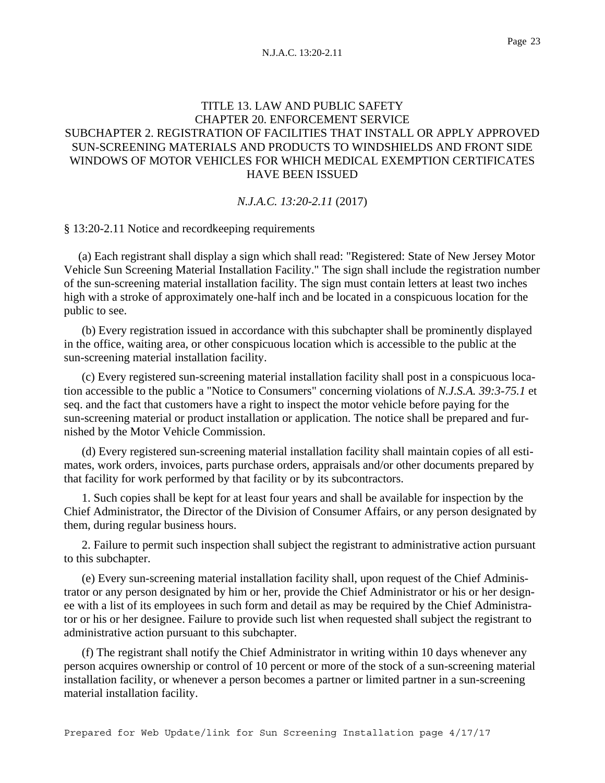# TITLE 13. LAW AND PUBLIC SAFETY CHAPTER 20. ENFORCEMENT SERVICE SUBCHAPTER 2. REGISTRATION OF FACILITIES THAT INSTALL OR APPLY APPROVED SUN-SCREENING MATERIALS AND PRODUCTS TO WINDSHIELDS AND FRONT SIDE WINDOWS OF MOTOR VEHICLES FOR WHICH MEDICAL EXEMPTION CERTIFICATES HAVE BEEN ISSUED

### *N.J.A.C. 13:20-2.11* (2017)

§ 13:20-2.11 Notice and recordkeeping requirements

 (a) Each registrant shall display a sign which shall read: "Registered: State of New Jersey Motor Vehicle Sun Screening Material Installation Facility." The sign shall include the registration number of the sun-screening material installation facility. The sign must contain letters at least two inches high with a stroke of approximately one-half inch and be located in a conspicuous location for the public to see.

(b) Every registration issued in accordance with this subchapter shall be prominently displayed in the office, waiting area, or other conspicuous location which is accessible to the public at the sun-screening material installation facility.

(c) Every registered sun-screening material installation facility shall post in a conspicuous location accessible to the public a "Notice to Consumers" concerning violations of *N.J.S.A. 39:3-75.1* et seq. and the fact that customers have a right to inspect the motor vehicle before paying for the sun-screening material or product installation or application. The notice shall be prepared and furnished by the Motor Vehicle Commission.

(d) Every registered sun-screening material installation facility shall maintain copies of all estimates, work orders, invoices, parts purchase orders, appraisals and/or other documents prepared by that facility for work performed by that facility or by its subcontractors.

1. Such copies shall be kept for at least four years and shall be available for inspection by the Chief Administrator, the Director of the Division of Consumer Affairs, or any person designated by them, during regular business hours.

2. Failure to permit such inspection shall subject the registrant to administrative action pursuant to this subchapter.

(e) Every sun-screening material installation facility shall, upon request of the Chief Administrator or any person designated by him or her, provide the Chief Administrator or his or her designee with a list of its employees in such form and detail as may be required by the Chief Administrator or his or her designee. Failure to provide such list when requested shall subject the registrant to administrative action pursuant to this subchapter.

(f) The registrant shall notify the Chief Administrator in writing within 10 days whenever any person acquires ownership or control of 10 percent or more of the stock of a sun-screening material installation facility, or whenever a person becomes a partner or limited partner in a sun-screening material installation facility.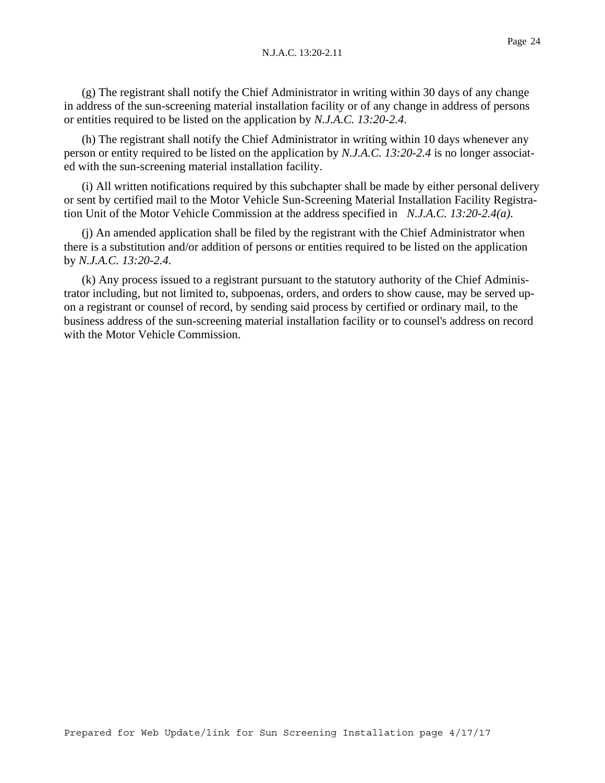(g) The registrant shall notify the Chief Administrator in writing within 30 days of any change in address of the sun-screening material installation facility or of any change in address of persons or entities required to be listed on the application by *N.J.A.C. 13:20-2.4*.

(h) The registrant shall notify the Chief Administrator in writing within 10 days whenever any person or entity required to be listed on the application by *N.J.A.C. 13:20-2.4* is no longer associated with the sun-screening material installation facility.

(i) All written notifications required by this subchapter shall be made by either personal delivery or sent by certified mail to the Motor Vehicle Sun-Screening Material Installation Facility Registration Unit of the Motor Vehicle Commission at the address specified in *N.J.A.C. 13:20-2.4(a)*.

(j) An amended application shall be filed by the registrant with the Chief Administrator when there is a substitution and/or addition of persons or entities required to be listed on the application by *N.J.A.C. 13:20-2.4*.

(k) Any process issued to a registrant pursuant to the statutory authority of the Chief Administrator including, but not limited to, subpoenas, orders, and orders to show cause, may be served upon a registrant or counsel of record, by sending said process by certified or ordinary mail, to the business address of the sun-screening material installation facility or to counsel's address on record with the Motor Vehicle Commission.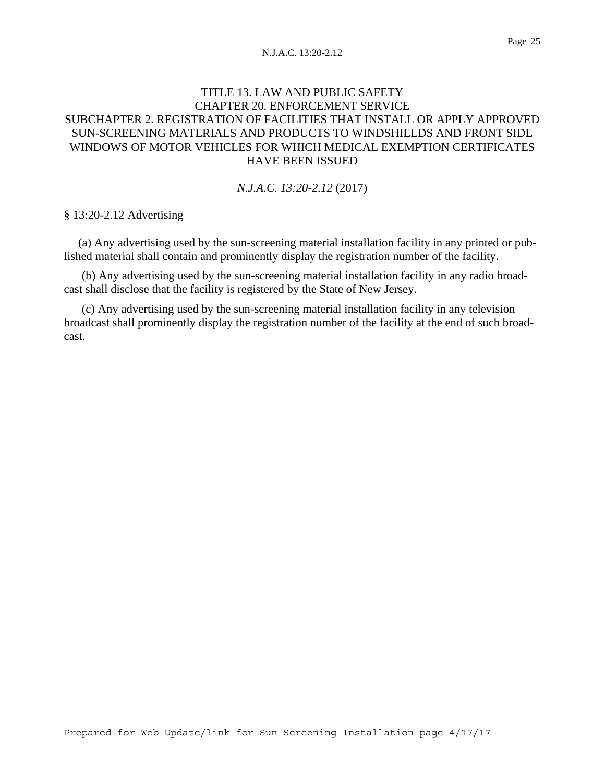#### Page 25

# TITLE 13. LAW AND PUBLIC SAFETY CHAPTER 20. ENFORCEMENT SERVICE SUBCHAPTER 2. REGISTRATION OF FACILITIES THAT INSTALL OR APPLY APPROVED SUN-SCREENING MATERIALS AND PRODUCTS TO WINDSHIELDS AND FRONT SIDE WINDOWS OF MOTOR VEHICLES FOR WHICH MEDICAL EXEMPTION CERTIFICATES HAVE BEEN ISSUED

### *N.J.A.C. 13:20-2.12* (2017)

§ 13:20-2.12 Advertising

 (a) Any advertising used by the sun-screening material installation facility in any printed or published material shall contain and prominently display the registration number of the facility.

(b) Any advertising used by the sun-screening material installation facility in any radio broadcast shall disclose that the facility is registered by the State of New Jersey.

(c) Any advertising used by the sun-screening material installation facility in any television broadcast shall prominently display the registration number of the facility at the end of such broadcast.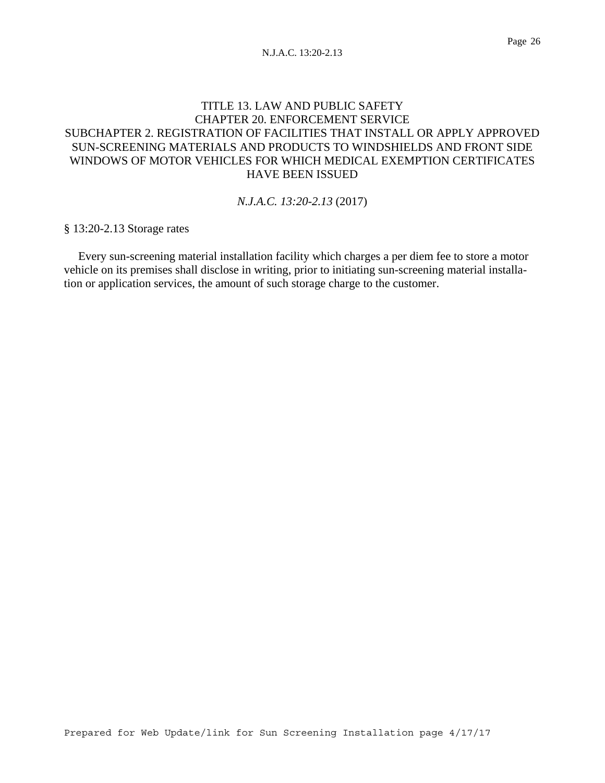# TITLE 13. LAW AND PUBLIC SAFETY CHAPTER 20. ENFORCEMENT SERVICE SUBCHAPTER 2. REGISTRATION OF FACILITIES THAT INSTALL OR APPLY APPROVED SUN-SCREENING MATERIALS AND PRODUCTS TO WINDSHIELDS AND FRONT SIDE WINDOWS OF MOTOR VEHICLES FOR WHICH MEDICAL EXEMPTION CERTIFICATES HAVE BEEN ISSUED

### *N.J.A.C. 13:20-2.13* (2017)

§ 13:20-2.13 Storage rates

 Every sun-screening material installation facility which charges a per diem fee to store a motor vehicle on its premises shall disclose in writing, prior to initiating sun-screening material installation or application services, the amount of such storage charge to the customer.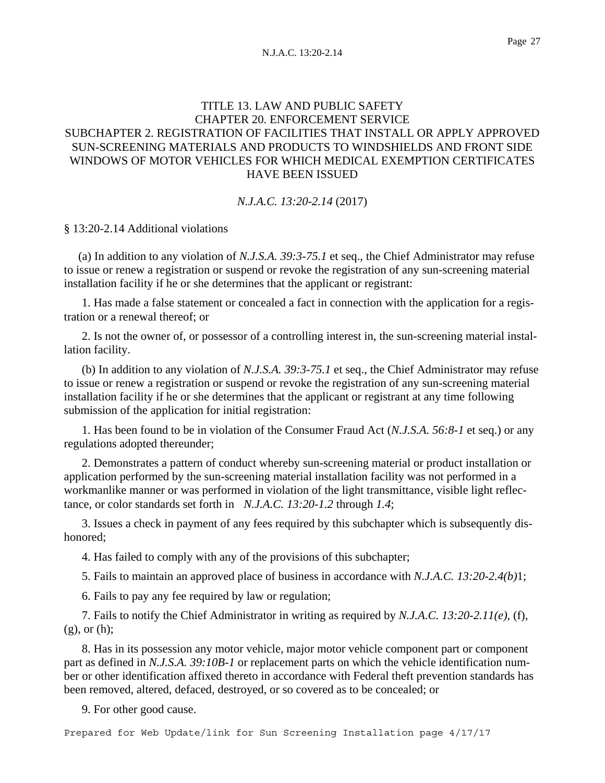# TITLE 13. LAW AND PUBLIC SAFETY CHAPTER 20. ENFORCEMENT SERVICE SUBCHAPTER 2. REGISTRATION OF FACILITIES THAT INSTALL OR APPLY APPROVED SUN-SCREENING MATERIALS AND PRODUCTS TO WINDSHIELDS AND FRONT SIDE WINDOWS OF MOTOR VEHICLES FOR WHICH MEDICAL EXEMPTION CERTIFICATES HAVE BEEN ISSUED

### *N.J.A.C. 13:20-2.14* (2017)

§ 13:20-2.14 Additional violations

 (a) In addition to any violation of *N.J.S.A. 39:3-75.1* et seq., the Chief Administrator may refuse to issue or renew a registration or suspend or revoke the registration of any sun-screening material installation facility if he or she determines that the applicant or registrant:

1. Has made a false statement or concealed a fact in connection with the application for a registration or a renewal thereof; or

2. Is not the owner of, or possessor of a controlling interest in, the sun-screening material installation facility.

(b) In addition to any violation of *N.J.S.A. 39:3-75.1* et seq., the Chief Administrator may refuse to issue or renew a registration or suspend or revoke the registration of any sun-screening material installation facility if he or she determines that the applicant or registrant at any time following submission of the application for initial registration:

1. Has been found to be in violation of the Consumer Fraud Act (*N.J.S.A. 56:8-1* et seq.) or any regulations adopted thereunder;

2. Demonstrates a pattern of conduct whereby sun-screening material or product installation or application performed by the sun-screening material installation facility was not performed in a workmanlike manner or was performed in violation of the light transmittance, visible light reflectance, or color standards set forth in *N.J.A.C. 13:20-1.2* through *1.4*;

3. Issues a check in payment of any fees required by this subchapter which is subsequently dishonored;

4. Has failed to comply with any of the provisions of this subchapter;

5. Fails to maintain an approved place of business in accordance with *N.J.A.C. 13:20-2.4(b)*1;

6. Fails to pay any fee required by law or regulation;

7. Fails to notify the Chief Administrator in writing as required by *N.J.A.C. 13:20-2.11(e)*, (f), (g), or (h);

8. Has in its possession any motor vehicle, major motor vehicle component part or component part as defined in *N.J.S.A. 39:10B-1* or replacement parts on which the vehicle identification number or other identification affixed thereto in accordance with Federal theft prevention standards has been removed, altered, defaced, destroyed, or so covered as to be concealed; or

9. For other good cause.

Prepared for Web Update/link for Sun Screening Installation page 4/17/17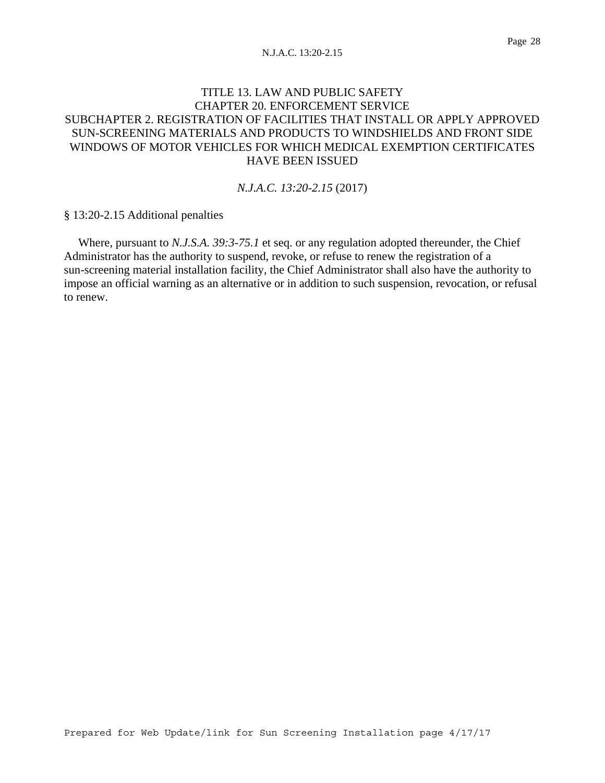## TITLE 13. LAW AND PUBLIC SAFETY CHAPTER 20. ENFORCEMENT SERVICE SUBCHAPTER 2. REGISTRATION OF FACILITIES THAT INSTALL OR APPLY APPROVED SUN-SCREENING MATERIALS AND PRODUCTS TO WINDSHIELDS AND FRONT SIDE WINDOWS OF MOTOR VEHICLES FOR WHICH MEDICAL EXEMPTION CERTIFICATES HAVE BEEN ISSUED

### *N.J.A.C. 13:20-2.15* (2017)

§ 13:20-2.15 Additional penalties

 Where, pursuant to *N.J.S.A. 39:3-75.1* et seq. or any regulation adopted thereunder, the Chief Administrator has the authority to suspend, revoke, or refuse to renew the registration of a sun-screening material installation facility, the Chief Administrator shall also have the authority to impose an official warning as an alternative or in addition to such suspension, revocation, or refusal to renew.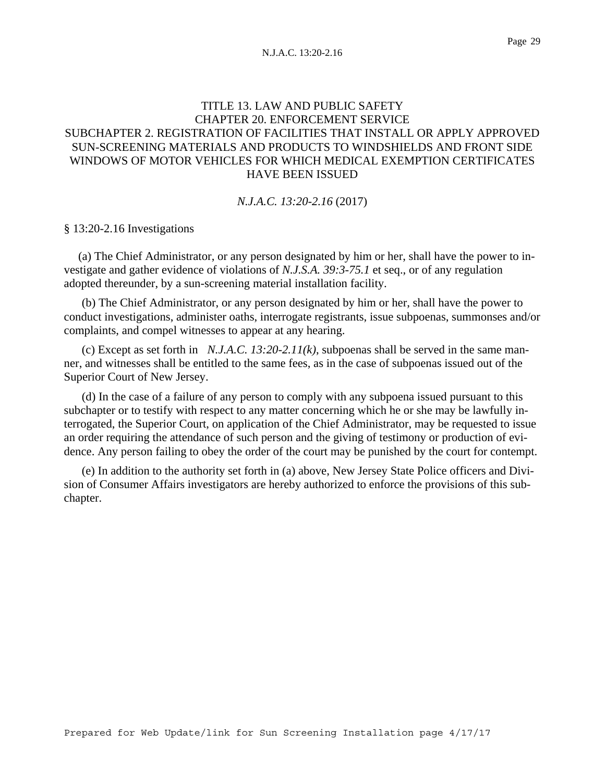# TITLE 13. LAW AND PUBLIC SAFETY CHAPTER 20. ENFORCEMENT SERVICE SUBCHAPTER 2. REGISTRATION OF FACILITIES THAT INSTALL OR APPLY APPROVED SUN-SCREENING MATERIALS AND PRODUCTS TO WINDSHIELDS AND FRONT SIDE WINDOWS OF MOTOR VEHICLES FOR WHICH MEDICAL EXEMPTION CERTIFICATES HAVE BEEN ISSUED

#### *N.J.A.C. 13:20-2.16* (2017)

### § 13:20-2.16 Investigations

 (a) The Chief Administrator, or any person designated by him or her, shall have the power to investigate and gather evidence of violations of *N.J.S.A. 39:3-75.1* et seq., or of any regulation adopted thereunder, by a sun-screening material installation facility.

(b) The Chief Administrator, or any person designated by him or her, shall have the power to conduct investigations, administer oaths, interrogate registrants, issue subpoenas, summonses and/or complaints, and compel witnesses to appear at any hearing.

(c) Except as set forth in *N.J.A.C. 13:20-2.11(k)*, subpoenas shall be served in the same manner, and witnesses shall be entitled to the same fees, as in the case of subpoenas issued out of the Superior Court of New Jersey.

(d) In the case of a failure of any person to comply with any subpoena issued pursuant to this subchapter or to testify with respect to any matter concerning which he or she may be lawfully interrogated, the Superior Court, on application of the Chief Administrator, may be requested to issue an order requiring the attendance of such person and the giving of testimony or production of evidence. Any person failing to obey the order of the court may be punished by the court for contempt.

(e) In addition to the authority set forth in (a) above, New Jersey State Police officers and Division of Consumer Affairs investigators are hereby authorized to enforce the provisions of this subchapter.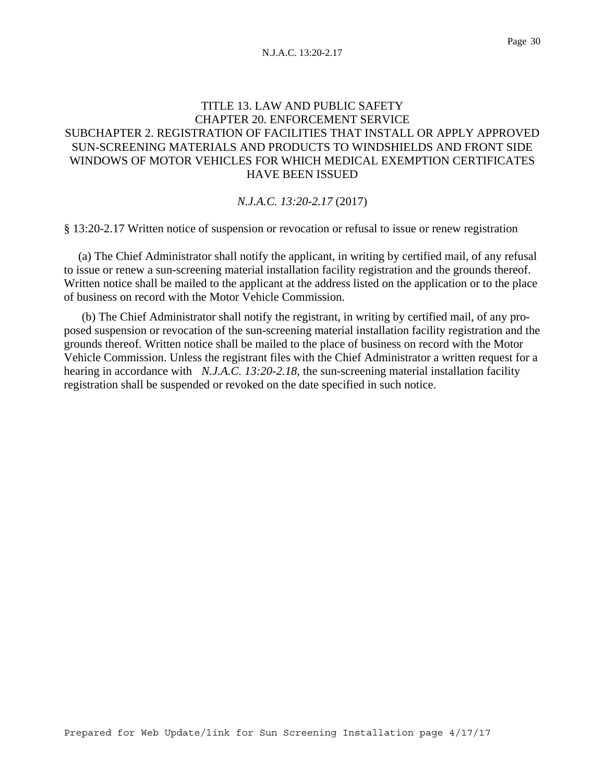# TITLE 13. LAW AND PUBLIC SAFETY CHAPTER 20. ENFORCEMENT SERVICE SUBCHAPTER 2. REGISTRATION OF FACILITIES THAT INSTALL OR APPLY APPROVED SUN-SCREENING MATERIALS AND PRODUCTS TO WINDSHIELDS AND FRONT SIDE WINDOWS OF MOTOR VEHICLES FOR WHICH MEDICAL EXEMPTION CERTIFICATES HAVE BEEN ISSUED

### *N.J.A.C. 13:20-2.17* (2017)

§ 13:20-2.17 Written notice of suspension or revocation or refusal to issue or renew registration

 (a) The Chief Administrator shall notify the applicant, in writing by certified mail, of any refusal to issue or renew a sun-screening material installation facility registration and the grounds thereof. Written notice shall be mailed to the applicant at the address listed on the application or to the place of business on record with the Motor Vehicle Commission.

(b) The Chief Administrator shall notify the registrant, in writing by certified mail, of any proposed suspension or revocation of the sun-screening material installation facility registration and the grounds thereof. Written notice shall be mailed to the place of business on record with the Motor Vehicle Commission. Unless the registrant files with the Chief Administrator a written request for a hearing in accordance with *N.J.A.C. 13:20-2.18*, the sun-screening material installation facility registration shall be suspended or revoked on the date specified in such notice.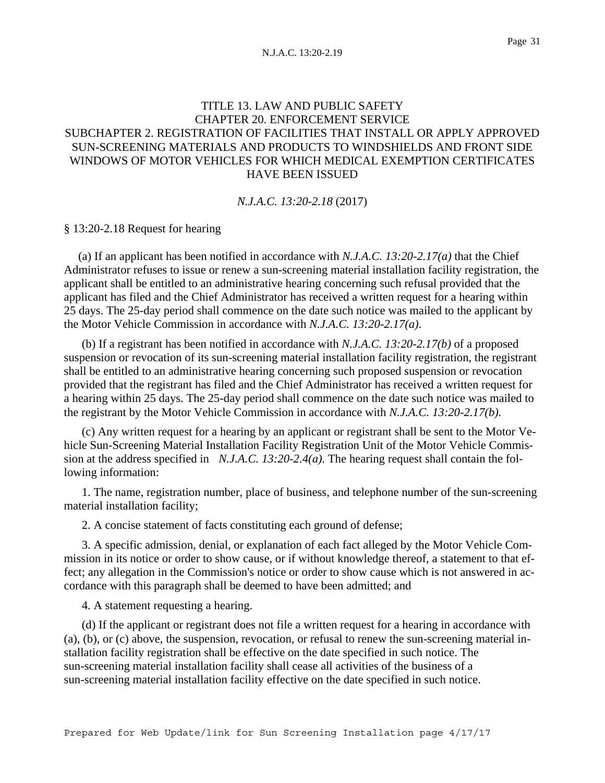# TITLE 13. LAW AND PUBLIC SAFETY CHAPTER 20. ENFORCEMENT SERVICE SUBCHAPTER 2. REGISTRATION OF FACILITIES THAT INSTALL OR APPLY APPROVED SUN-SCREENING MATERIALS AND PRODUCTS TO WINDSHIELDS AND FRONT SIDE WINDOWS OF MOTOR VEHICLES FOR WHICH MEDICAL EXEMPTION CERTIFICATES HAVE BEEN ISSUED

*N.J.A.C. 13:20-2.18* (2017)

### § 13:20-2.18 Request for hearing

 (a) If an applicant has been notified in accordance with *N.J.A.C. 13:20-2.17(a)* that the Chief Administrator refuses to issue or renew a sun-screening material installation facility registration, the applicant shall be entitled to an administrative hearing concerning such refusal provided that the applicant has filed and the Chief Administrator has received a written request for a hearing within 25 days. The 25-day period shall commence on the date such notice was mailed to the applicant by the Motor Vehicle Commission in accordance with *N.J.A.C. 13:20-2.17(a)*.

(b) If a registrant has been notified in accordance with *N.J.A.C. 13:20-2.17(b)* of a proposed suspension or revocation of its sun-screening material installation facility registration, the registrant shall be entitled to an administrative hearing concerning such proposed suspension or revocation provided that the registrant has filed and the Chief Administrator has received a written request for a hearing within 25 days. The 25-day period shall commence on the date such notice was mailed to the registrant by the Motor Vehicle Commission in accordance with *N.J.A.C. 13:20-2.17(b)*.

(c) Any written request for a hearing by an applicant or registrant shall be sent to the Motor Vehicle Sun-Screening Material Installation Facility Registration Unit of the Motor Vehicle Commission at the address specified in *N.J.A.C. 13:20-2.4(a)*. The hearing request shall contain the following information:

1. The name, registration number, place of business, and telephone number of the sun-screening material installation facility;

2. A concise statement of facts constituting each ground of defense;

3. A specific admission, denial, or explanation of each fact alleged by the Motor Vehicle Commission in its notice or order to show cause, or if without knowledge thereof, a statement to that effect; any allegation in the Commission's notice or order to show cause which is not answered in accordance with this paragraph shall be deemed to have been admitted; and

4. A statement requesting a hearing.

(d) If the applicant or registrant does not file a written request for a hearing in accordance with (a), (b), or (c) above, the suspension, revocation, or refusal to renew the sun-screening material installation facility registration shall be effective on the date specified in such notice. The sun-screening material installation facility shall cease all activities of the business of a sun-screening material installation facility effective on the date specified in such notice.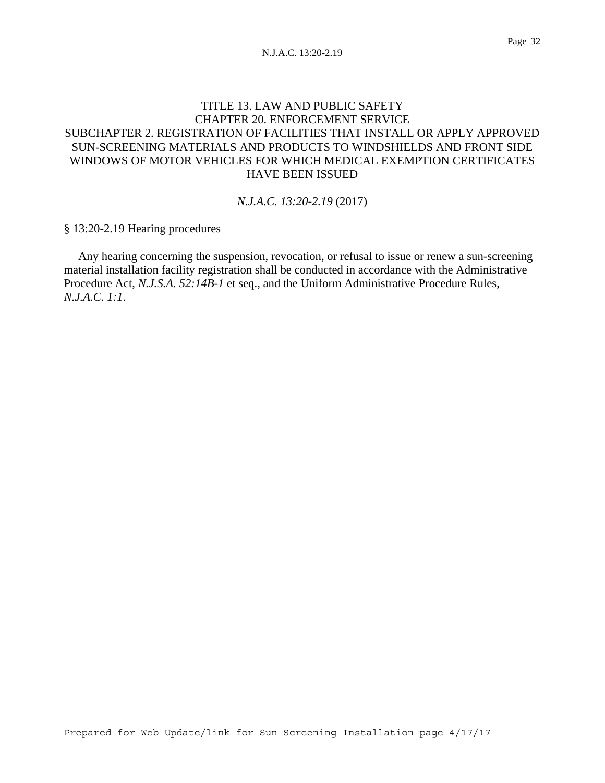# TITLE 13. LAW AND PUBLIC SAFETY CHAPTER 20. ENFORCEMENT SERVICE SUBCHAPTER 2. REGISTRATION OF FACILITIES THAT INSTALL OR APPLY APPROVED SUN-SCREENING MATERIALS AND PRODUCTS TO WINDSHIELDS AND FRONT SIDE WINDOWS OF MOTOR VEHICLES FOR WHICH MEDICAL EXEMPTION CERTIFICATES HAVE BEEN ISSUED

### *N.J.A.C. 13:20-2.19* (2017)

§ 13:20-2.19 Hearing procedures

 Any hearing concerning the suspension, revocation, or refusal to issue or renew a sun-screening material installation facility registration shall be conducted in accordance with the Administrative Procedure Act, *N.J.S.A. 52:14B-1* et seq., and the Uniform Administrative Procedure Rules, *N.J.A.C. 1:1*.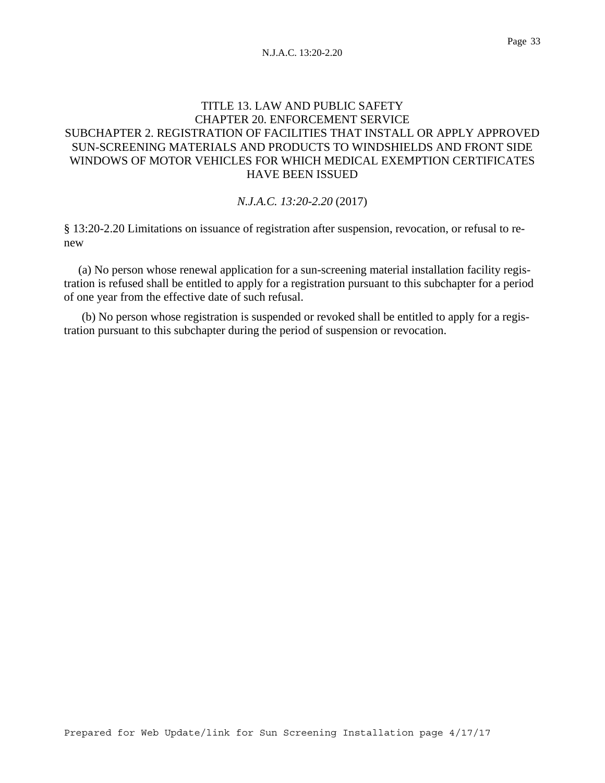# TITLE 13. LAW AND PUBLIC SAFETY CHAPTER 20. ENFORCEMENT SERVICE SUBCHAPTER 2. REGISTRATION OF FACILITIES THAT INSTALL OR APPLY APPROVED SUN-SCREENING MATERIALS AND PRODUCTS TO WINDSHIELDS AND FRONT SIDE WINDOWS OF MOTOR VEHICLES FOR WHICH MEDICAL EXEMPTION CERTIFICATES HAVE BEEN ISSUED

### *N.J.A.C. 13:20-2.20* (2017)

§ 13:20-2.20 Limitations on issuance of registration after suspension, revocation, or refusal to renew

 (a) No person whose renewal application for a sun-screening material installation facility registration is refused shall be entitled to apply for a registration pursuant to this subchapter for a period of one year from the effective date of such refusal.

(b) No person whose registration is suspended or revoked shall be entitled to apply for a registration pursuant to this subchapter during the period of suspension or revocation.